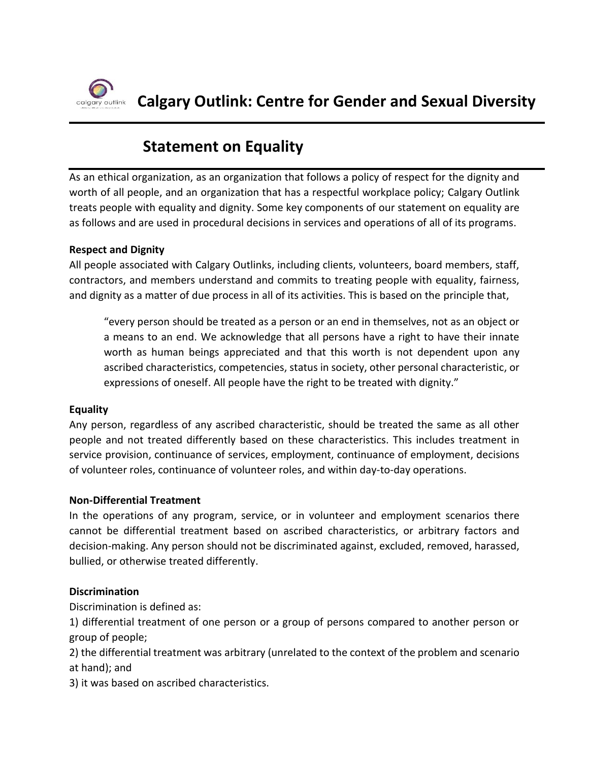

# **Statement on Equality**

As an ethical organization, as an organization that follows a policy of respect for the dignity and worth of all people, and an organization that has a respectful workplace policy; Calgary Outlink treats people with equality and dignity. Some key components of our statement on equality are as follows and are used in procedural decisions in services and operations of all of its programs.

#### **Respect and Dignity**

All people associated with Calgary Outlinks, including clients, volunteers, board members, staff, contractors, and members understand and commits to treating people with equality, fairness, and dignity as a matter of due process in all of its activities. This is based on the principle that,

"every person should be treated as a person or an end in themselves, not as an object or a means to an end. We acknowledge that all persons have a right to have their innate worth as human beings appreciated and that this worth is not dependent upon any ascribed characteristics, competencies, status in society, other personal characteristic, or expressions of oneself. All people have the right to be treated with dignity."

### **Equality**

Any person, regardless of any ascribed characteristic, should be treated the same as all other people and not treated differently based on these characteristics. This includes treatment in service provision, continuance of services, employment, continuance of employment, decisions of volunteer roles, continuance of volunteer roles, and within day-to-day operations.

#### **Non-Differential Treatment**

In the operations of any program, service, or in volunteer and employment scenarios there cannot be differential treatment based on ascribed characteristics, or arbitrary factors and decision-making. Any person should not be discriminated against, excluded, removed, harassed, bullied, or otherwise treated differently.

#### **Discrimination**

Discrimination is defined as:

1) differential treatment of one person or a group of persons compared to another person or group of people;

2) the differential treatment was arbitrary (unrelated to the context of the problem and scenario at hand); and

3) it was based on ascribed characteristics.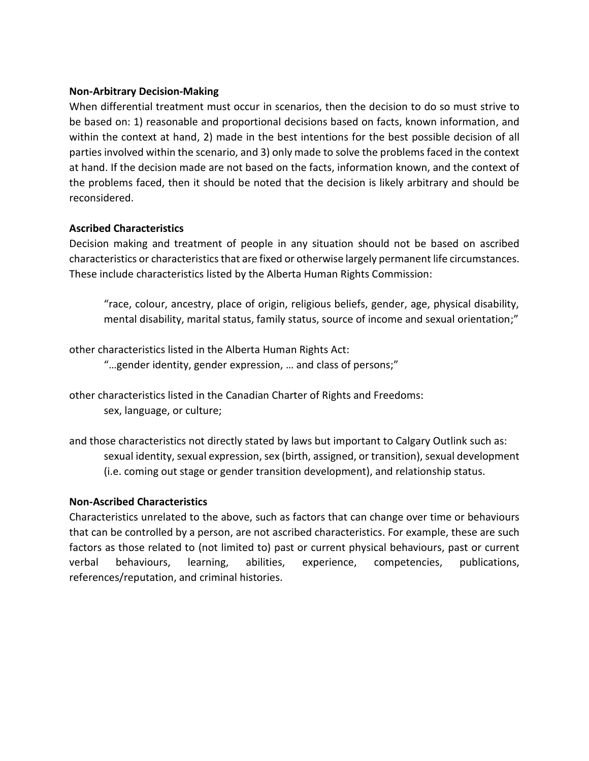#### **Non-Arbitrary Decision-Making**

When differential treatment must occur in scenarios, then the decision to do so must strive to be based on: 1) reasonable and proportional decisions based on facts, known information, and within the context at hand, 2) made in the best intentions for the best possible decision of all parties involved within the scenario, and 3) only made to solve the problems faced in the context at hand. If the decision made are not based on the facts, information known, and the context of the problems faced, then it should be noted that the decision is likely arbitrary and should be reconsidered.

#### **Ascribed Characteristics**

Decision making and treatment of people in any situation should not be based on ascribed characteristics or characteristics that are fixed or otherwise largely permanent life circumstances. These include characteristics listed by the Alberta Human Rights Commission:

"race, colour, ancestry, place of origin, religious beliefs, gender, age, physical disability, mental disability, marital status, family status, source of income and sexual orientation;"

other characteristics listed in the Alberta Human Rights Act:

"…gender identity, gender expression, … and class of persons;"

other characteristics listed in the Canadian Charter of Rights and Freedoms: sex, language, or culture;

and those characteristics not directly stated by laws but important to Calgary Outlink such as: sexual identity, sexual expression, sex (birth, assigned, or transition), sexual development (i.e. coming out stage or gender transition development), and relationship status.

#### **Non-Ascribed Characteristics**

Characteristics unrelated to the above, such as factors that can change over time or behaviours that can be controlled by a person, are not ascribed characteristics. For example, these are such factors as those related to (not limited to) past or current physical behaviours, past or current verbal behaviours, learning, abilities, experience, competencies, publications, references/reputation, and criminal histories.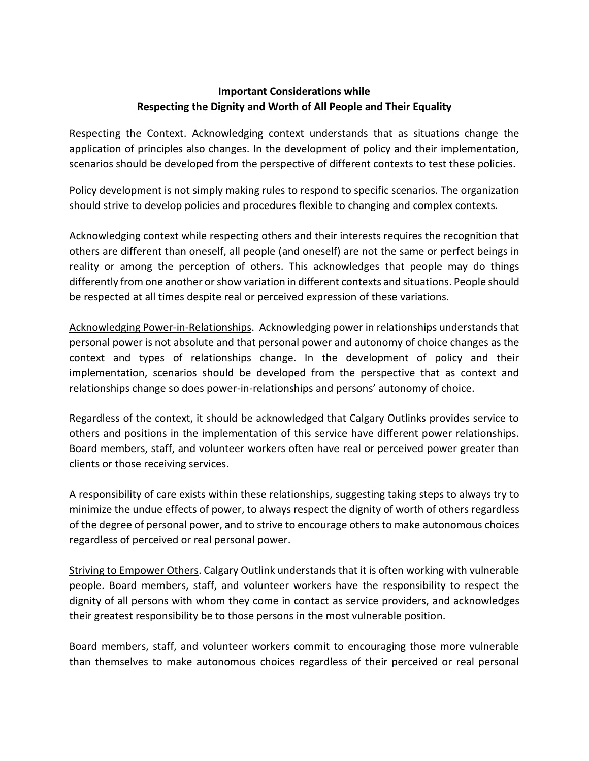## **Important Considerations while Respecting the Dignity and Worth of All People and Their Equality**

Respecting the Context. Acknowledging context understands that as situations change the application of principles also changes. In the development of policy and their implementation, scenarios should be developed from the perspective of different contexts to test these policies.

Policy development is not simply making rules to respond to specific scenarios. The organization should strive to develop policies and procedures flexible to changing and complex contexts.

Acknowledging context while respecting others and their interests requires the recognition that others are different than oneself, all people (and oneself) are not the same or perfect beings in reality or among the perception of others. This acknowledges that people may do things differently from one another orshow variation in different contexts and situations. People should be respected at all times despite real or perceived expression of these variations.

Acknowledging Power-in-Relationships. Acknowledging power in relationships understands that personal power is not absolute and that personal power and autonomy of choice changes as the context and types of relationships change. In the development of policy and their implementation, scenarios should be developed from the perspective that as context and relationships change so does power-in-relationships and persons' autonomy of choice.

Regardless of the context, it should be acknowledged that Calgary Outlinks provides service to others and positions in the implementation of this service have different power relationships. Board members, staff, and volunteer workers often have real or perceived power greater than clients or those receiving services.

A responsibility of care exists within these relationships, suggesting taking steps to always try to minimize the undue effects of power, to always respect the dignity of worth of others regardless of the degree of personal power, and to strive to encourage others to make autonomous choices regardless of perceived or real personal power.

Striving to Empower Others. Calgary Outlink understands that it is often working with vulnerable people. Board members, staff, and volunteer workers have the responsibility to respect the dignity of all persons with whom they come in contact as service providers, and acknowledges their greatest responsibility be to those persons in the most vulnerable position.

Board members, staff, and volunteer workers commit to encouraging those more vulnerable than themselves to make autonomous choices regardless of their perceived or real personal